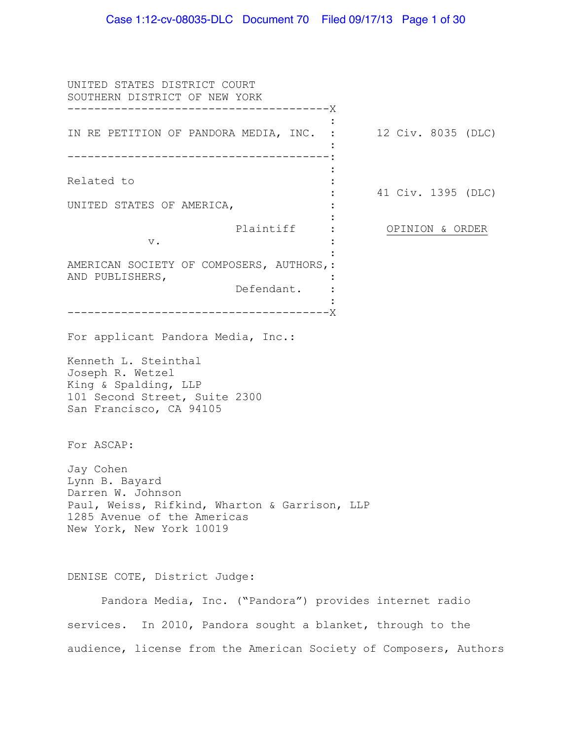#### Case 1:12-cv-08035-DLC Document 70 Filed 09/17/13 Page 1 of 30

UNITED STATES DISTRICT COURT SOUTHERN DISTRICT OF NEW YORK --------------------------------------- X IN RE PETITION OF PANDORA MEDIA, INC. : --------------------------------------- : Related to UNITED STATES OF AMERICA, plaintiff : v. AMERICAN SOCIETY OF COMPOSERS, AUTHORS, : AND PUBLISHERS, Defendant. --------------------------------------- X : : : : : : : : : : : : 12 Civ. 8035 (DLC) 41 Civ. 1395 (DLC) OPINION & ORDER For applicant Pandora Media, Inc.: Kenneth L. Steinthal Joseph R. Wetzel King & Spalding, LLP 101 Second Street, Suite 2300 San Francisco, CA 94105 For ASCAP: Jay Cohen Lynn B. Bayard Darren W. Johnson Paul, Weiss, Rifkind, Wharton & Garrison, LLP 1285 Avenue of the Americas New York, New York 10019 DENISE COTE, District Judge: Pandora Media, Inc. ("Pandora") provides internet radio services. In 2010, Pandora sought a blanket, through to the audience, license from the American Society of Composers, Authors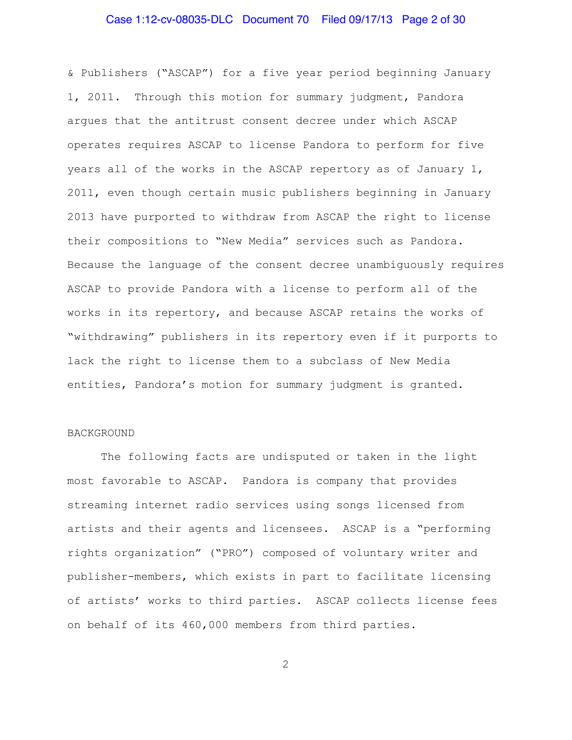# Case 1:12-cv-08035-DLC Document 70 Filed 09/17/13 Page 2 of 30

& Publishers ("ASCAP") for a five year period beginning January 1, 2011. Through this motion for summary judgment, Pandora argues that the antitrust consent decree under which ASCAP operates requires ASCAP to license Pandora to perform for five years all of the works in the ASCAP repertory as of January 1, 2011, even though certain music publishers beginning in January 2013 have purported to withdraw from ASCAP the right to license their compositions to "New Media" services such as Pandora. Because the language of the consent decree unambiguously requires ASCAP to provide Pandora with a license to perform all of the works in its repertory, and because ASCAP retains the works of "withdrawing" publishers in its repertory even if it purports to lack the right to license them to a subclass of New Media entities, Pandora's motion for summary judgment is granted.

#### BACKGROUND

The following facts are undisputed or taken in the light most favorable to ASCAP. Pandora is company that provides streaming internet radio services using songs licensed from artists and their agents and licensees. ASCAP is a "performing rights organization" ("PRO") composed of voluntary writer and publisher-members, which exists in part to facilitate licensing of artists' works to third parties. ASCAP collects license fees on behalf of its 460,000 members from third parties.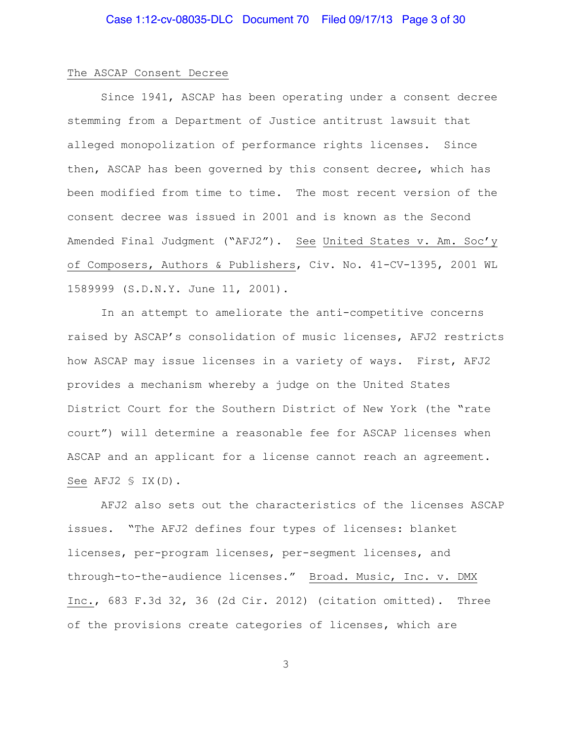#### The ASCAP Consent Decree

Since 1941, ASCAP has been operating under a consent decree stemming from a Department of Justice antitrust lawsuit that alleged monopolization of performance rights licenses. Since then, ASCAP has been governed by this consent decree, which has been modified from time to time. The most recent version of the consent decree was issued in 2001 and is known as the Second Amended Final Judgment ("AFJ2"). See United States v. Am. Soc'y of Composers, Authors & Publishers, Civ. No. 41-CV-1395, 2001 WL 1589999 (S.D.N.Y. June 11, 2001).

In an attempt to ameliorate the anti-competitive concerns raised by ASCAP's consolidation of music licenses, AFJ2 restricts how ASCAP may issue licenses in a variety of ways. First, AFJ2 provides a mechanism whereby a judge on the United States District Court for the Southern District of New York (the "rate court") will determine a reasonable fee for ASCAP licenses when ASCAP and an applicant for a license cannot reach an agreement. See AFJ2 § IX(D).

AFJ2 also sets out the characteristics of the licenses ASCAP issues. "The AFJ2 defines four types of licenses: blanket licenses, per-program licenses, per-segment licenses, and through-to-the-audience licenses." Broad. Music, Inc. v. DMX Inc., 683 F.3d 32, 36 (2d Cir. 2012) (citation omitted). Three of the provisions create categories of licenses, which are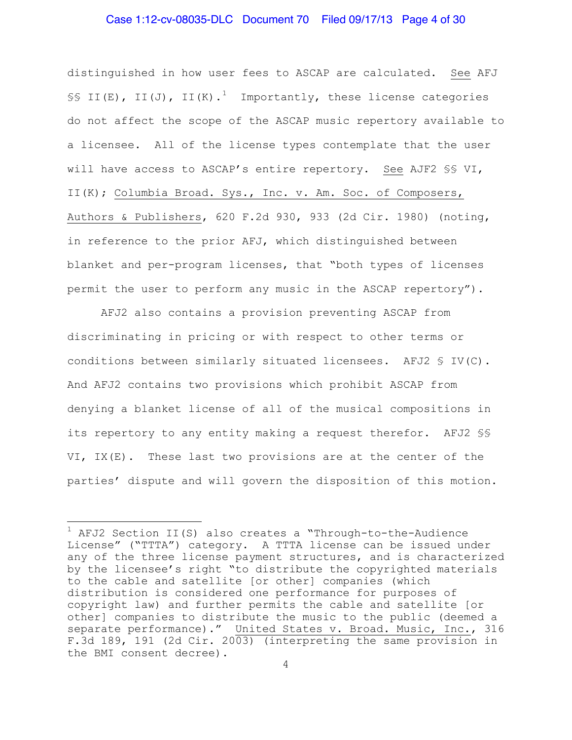#### Case 1:12-cv-08035-DLC Document 70 Filed 09/17/13 Page 4 of 30

distinguished in how user fees to ASCAP are calculated. See AFJ §§ II(E), II(J), II(K).<sup>[1](#page-3-0)</sup> Importantly, these license categories do not affect the scope of the ASCAP music repertory available to a licensee. All of the license types contemplate that the user will have access to ASCAP's entire repertory. See AJF2 §§ VI, II(K); Columbia Broad. Sys., Inc. v. Am. Soc. of Composers, Authors & Publishers, 620 F.2d 930, 933 (2d Cir. 1980) (noting, in reference to the prior AFJ, which distinguished between blanket and per-program licenses, that "both types of licenses permit the user to perform any music in the ASCAP repertory").

AFJ2 also contains a provision preventing ASCAP from discriminating in pricing or with respect to other terms or conditions between similarly situated licensees. AFJ2 § IV(C). And AFJ2 contains two provisions which prohibit ASCAP from denying a blanket license of all of the musical compositions in its repertory to any entity making a request therefor. AFJ2 §§ VI, IX(E). These last two provisions are at the center of the parties' dispute and will govern the disposition of this motion.

÷,

<span id="page-3-0"></span><sup>&</sup>lt;sup>1</sup> AFJ2 Section II(S) also creates a "Through-to-the-Audience License" ("TTTA") category. A TTTA license can be issued under any of the three license payment structures, and is characterized by the licensee's right "to distribute the copyrighted materials to the cable and satellite [or other] companies (which distribution is considered one performance for purposes of copyright law) and further permits the cable and satellite [or other] companies to distribute the music to the public (deemed a separate performance)." United States v. Broad. Music, Inc., 316 F.3d 189, 191 (2d Cir. 2003) (interpreting the same provision in the BMI consent decree).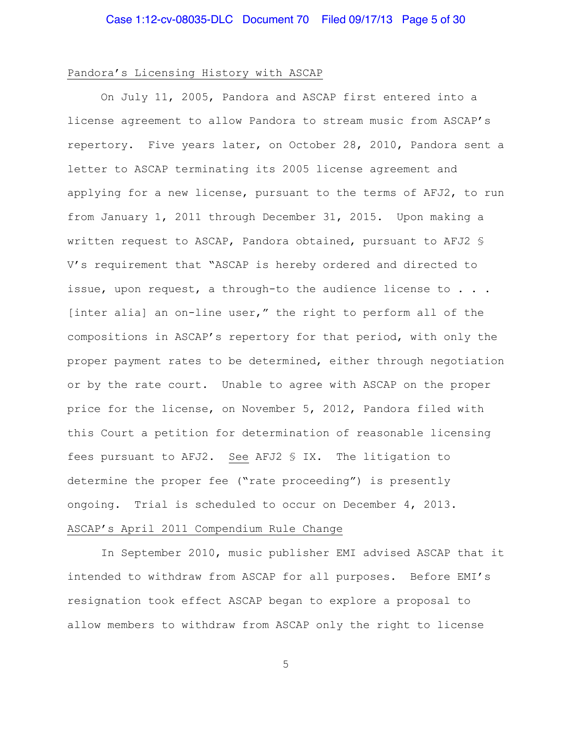#### Pandora's Licensing History with ASCAP

On July 11, 2005, Pandora and ASCAP first entered into a license agreement to allow Pandora to stream music from ASCAP's repertory. Five years later, on October 28, 2010, Pandora sent a letter to ASCAP terminating its 2005 license agreement and applying for a new license, pursuant to the terms of AFJ2, to run from January 1, 2011 through December 31, 2015. Upon making a written request to ASCAP, Pandora obtained, pursuant to AFJ2 § V's requirement that "ASCAP is hereby ordered and directed to issue, upon request, a through-to the audience license to . . . [inter alia] an on-line user," the right to perform all of the compositions in ASCAP's repertory for that period, with only the proper payment rates to be determined, either through negotiation or by the rate court. Unable to agree with ASCAP on the proper price for the license, on November 5, 2012, Pandora filed with this Court a petition for determination of reasonable licensing fees pursuant to AFJ2. See AFJ2 § IX. The litigation to determine the proper fee ("rate proceeding") is presently ongoing. Trial is scheduled to occur on December 4, 2013. ASCAP's April 2011 Compendium Rule Change

In September 2010, music publisher EMI advised ASCAP that it intended to withdraw from ASCAP for all purposes. Before EMI's resignation took effect ASCAP began to explore a proposal to allow members to withdraw from ASCAP only the right to license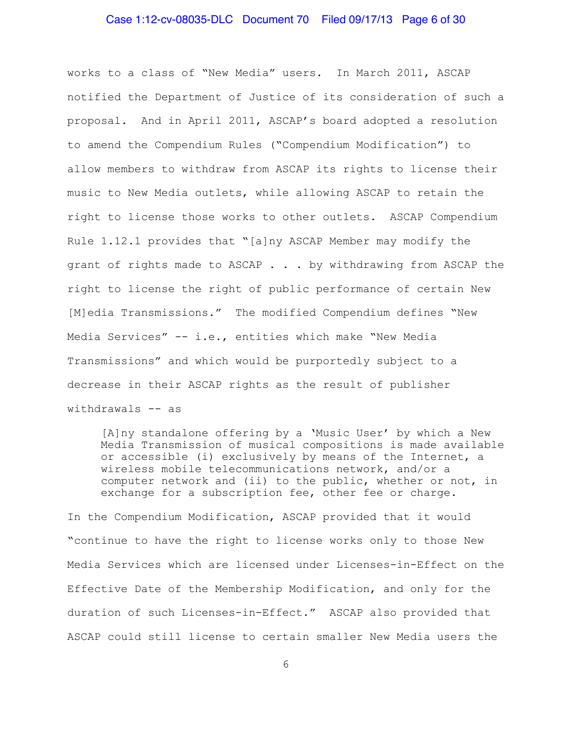#### Case 1:12-cv-08035-DLC Document 70 Filed 09/17/13 Page 6 of 30

works to a class of "New Media" users. In March 2011, ASCAP notified the Department of Justice of its consideration of such a proposal. And in April 2011, ASCAP's board adopted a resolution to amend the Compendium Rules ("Compendium Modification") to allow members to withdraw from ASCAP its rights to license their music to New Media outlets, while allowing ASCAP to retain the right to license those works to other outlets. ASCAP Compendium Rule 1.12.1 provides that "[a]ny ASCAP Member may modify the grant of rights made to ASCAP . . . by withdrawing from ASCAP the right to license the right of public performance of certain New [M]edia Transmissions." The modified Compendium defines "New Media Services" -- i.e., entities which make "New Media Transmissions" and which would be purportedly subject to a decrease in their ASCAP rights as the result of publisher withdrawals -- as

[A]ny standalone offering by a 'Music User' by which a New Media Transmission of musical compositions is made available or accessible (i) exclusively by means of the Internet, a wireless mobile telecommunications network, and/or a computer network and (ii) to the public, whether or not, in exchange for a subscription fee, other fee or charge.

In the Compendium Modification, ASCAP provided that it would "continue to have the right to license works only to those New Media Services which are licensed under Licenses-in-Effect on the Effective Date of the Membership Modification, and only for the duration of such Licenses-in-Effect." ASCAP also provided that ASCAP could still license to certain smaller New Media users the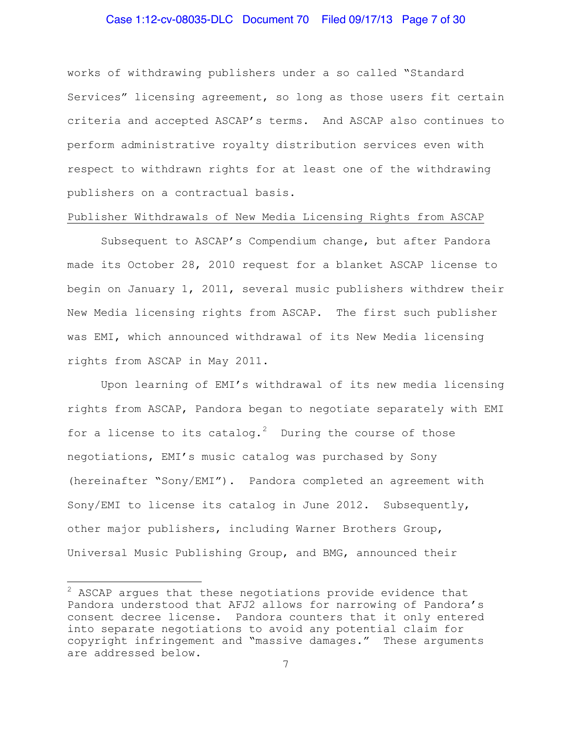#### Case 1:12-cv-08035-DLC Document 70 Filed 09/17/13 Page 7 of 30

works of withdrawing publishers under a so called "Standard Services" licensing agreement, so long as those users fit certain criteria and accepted ASCAP's terms. And ASCAP also continues to perform administrative royalty distribution services even with respect to withdrawn rights for at least one of the withdrawing publishers on a contractual basis.

#### Publisher Withdrawals of New Media Licensing Rights from ASCAP

Subsequent to ASCAP's Compendium change, but after Pandora made its October 28, 2010 request for a blanket ASCAP license to begin on January 1, 2011, several music publishers withdrew their New Media licensing rights from ASCAP. The first such publisher was EMI, which announced withdrawal of its New Media licensing rights from ASCAP in May 2011.

Upon learning of EMI's withdrawal of its new media licensing rights from ASCAP, Pandora began to negotiate separately with EMI for a license to its catalog.<sup>[2](#page-6-0)</sup> During the course of those negotiations, EMI's music catalog was purchased by Sony (hereinafter "Sony/EMI"). Pandora completed an agreement with Sony/EMI to license its catalog in June 2012. Subsequently, other major publishers, including Warner Brothers Group, Universal Music Publishing Group, and BMG, announced their

i<br>L

<span id="page-6-0"></span> $2$  ASCAP argues that these negotiations provide evidence that Pandora understood that AFJ2 allows for narrowing of Pandora's consent decree license. Pandora counters that it only entered into separate negotiations to avoid any potential claim for copyright infringement and "massive damages." These arguments are addressed below.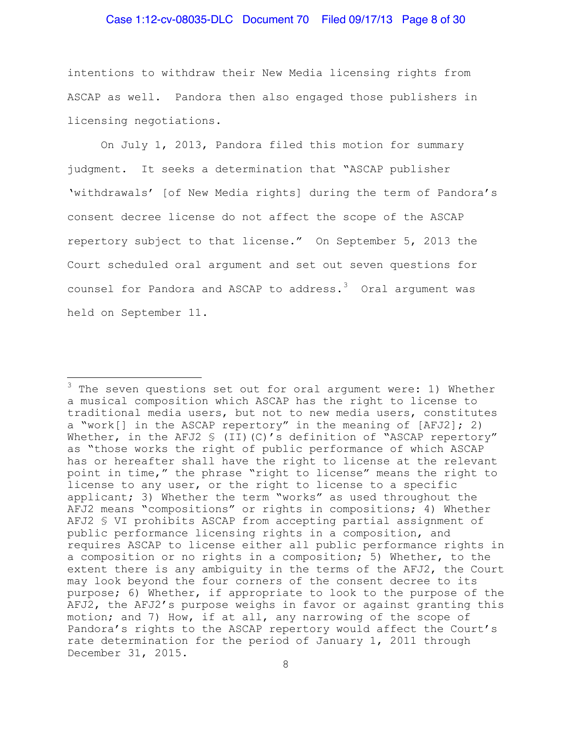#### Case 1:12-cv-08035-DLC Document 70 Filed 09/17/13 Page 8 of 30

intentions to withdraw their New Media licensing rights from ASCAP as well. Pandora then also engaged those publishers in licensing negotiations.

On July 1, 2013, Pandora filed this motion for summary judgment. It seeks a determination that "ASCAP publisher 'withdrawals' [of New Media rights] during the term of Pandora's consent decree license do not affect the scope of the ASCAP repertory subject to that license." On September 5, 2013 the Court scheduled oral argument and set out seven questions for counsel for Pandora and ASCAP to address. $3$  Oral argument was held on September 11.

i<br>L

<span id="page-7-0"></span> $3$  The seven questions set out for oral argument were: 1) Whether a musical composition which ASCAP has the right to license to traditional media users, but not to new media users, constitutes a "work[] in the ASCAP repertory" in the meaning of [AFJ2]; 2) Whether, in the AFJ2 § (II)(C)'s definition of "ASCAP repertory" as "those works the right of public performance of which ASCAP has or hereafter shall have the right to license at the relevant point in time," the phrase "right to license" means the right to license to any user, or the right to license to a specific applicant; 3) Whether the term "works" as used throughout the AFJ2 means "compositions" or rights in compositions; 4) Whether AFJ2 § VI prohibits ASCAP from accepting partial assignment of public performance licensing rights in a composition, and requires ASCAP to license either all public performance rights in a composition or no rights in a composition; 5) Whether, to the extent there is any ambiguity in the terms of the AFJ2, the Court may look beyond the four corners of the consent decree to its purpose; 6) Whether, if appropriate to look to the purpose of the AFJ2, the AFJ2's purpose weighs in favor or against granting this motion; and 7) How, if at all, any narrowing of the scope of Pandora's rights to the ASCAP repertory would affect the Court's rate determination for the period of January 1, 2011 through December 31, 2015.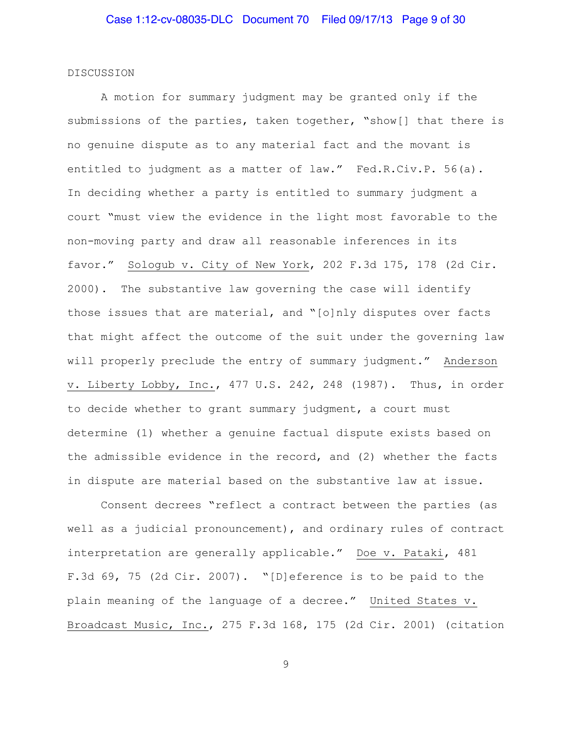#### DISCUSSION

A motion for summary judgment may be granted only if the submissions of the parties, taken together, "show[] that there is no genuine dispute as to any material fact and the movant is entitled to judgment as a matter of law." Fed.R.Civ.P. 56(a). In deciding whether a party is entitled to summary judgment a court "must view the evidence in the light most favorable to the non-moving party and draw all reasonable inferences in its favor." Sologub v. City of New York, 202 F.3d 175, 178 (2d Cir. 2000). The substantive law governing the case will identify those issues that are material, and "[o]nly disputes over facts that might affect the outcome of the suit under the governing law will properly preclude the entry of summary judgment." Anderson v. Liberty Lobby, Inc., 477 U.S. 242, 248 (1987). Thus, in order to decide whether to grant summary judgment, a court must determine (1) whether a genuine factual dispute exists based on the admissible evidence in the record, and (2) whether the facts in dispute are material based on the substantive law at issue.

Consent decrees "reflect a contract between the parties (as well as a judicial pronouncement), and ordinary rules of contract interpretation are generally applicable." Doe v. Pataki, 481 F.3d 69, 75 (2d Cir. 2007). "[D]eference is to be paid to the plain meaning of the language of a decree." United States v. Broadcast Music, Inc., 275 F.3d 168, 175 (2d Cir. 2001) (citation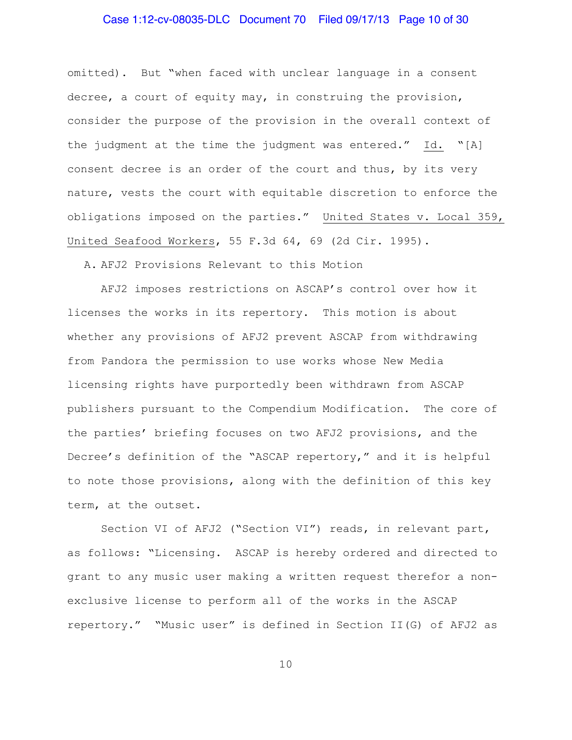# Case 1:12-cv-08035-DLC Document 70 Filed 09/17/13 Page 10 of 30

omitted). But "when faced with unclear language in a consent decree, a court of equity may, in construing the provision, consider the purpose of the provision in the overall context of the judgment at the time the judgment was entered." Id. "[A] consent decree is an order of the court and thus, by its very nature, vests the court with equitable discretion to enforce the obligations imposed on the parties." United States v. Local 359, United Seafood Workers, 55 F.3d 64, 69 (2d Cir. 1995).

A. AFJ2 Provisions Relevant to this Motion

AFJ2 imposes restrictions on ASCAP's control over how it licenses the works in its repertory. This motion is about whether any provisions of AFJ2 prevent ASCAP from withdrawing from Pandora the permission to use works whose New Media licensing rights have purportedly been withdrawn from ASCAP publishers pursuant to the Compendium Modification. The core of the parties' briefing focuses on two AFJ2 provisions, and the Decree's definition of the "ASCAP repertory," and it is helpful to note those provisions, along with the definition of this key term, at the outset.

Section VI of AFJ2 ("Section VI") reads, in relevant part, as follows: "Licensing. ASCAP is hereby ordered and directed to grant to any music user making a written request therefor a nonexclusive license to perform all of the works in the ASCAP repertory." "Music user" is defined in Section II(G) of AFJ2 as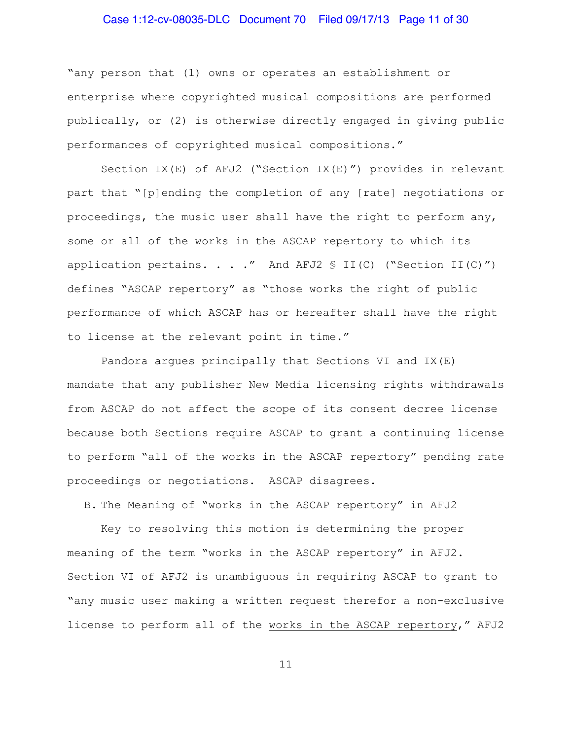# Case 1:12-cv-08035-DLC Document 70 Filed 09/17/13 Page 11 of 30

"any person that (1) owns or operates an establishment or enterprise where copyrighted musical compositions are performed publically, or (2) is otherwise directly engaged in giving public performances of copyrighted musical compositions."

Section IX(E) of AFJ2 ("Section IX(E)") provides in relevant part that "[p]ending the completion of any [rate] negotiations or proceedings, the music user shall have the right to perform any, some or all of the works in the ASCAP repertory to which its application pertains. . . ." And AFJ2  $\frac{1}{2}$  II(C) ("Section II(C)") defines "ASCAP repertory" as "those works the right of public performance of which ASCAP has or hereafter shall have the right to license at the relevant point in time."

Pandora argues principally that Sections VI and IX(E) mandate that any publisher New Media licensing rights withdrawals from ASCAP do not affect the scope of its consent decree license because both Sections require ASCAP to grant a continuing license to perform "all of the works in the ASCAP repertory" pending rate proceedings or negotiations. ASCAP disagrees.

B. The Meaning of "works in the ASCAP repertory" in AFJ2

Key to resolving this motion is determining the proper meaning of the term "works in the ASCAP repertory" in AFJ2. Section VI of AFJ2 is unambiguous in requiring ASCAP to grant to "any music user making a written request therefor a non-exclusive license to perform all of the works in the ASCAP repertory," AFJ2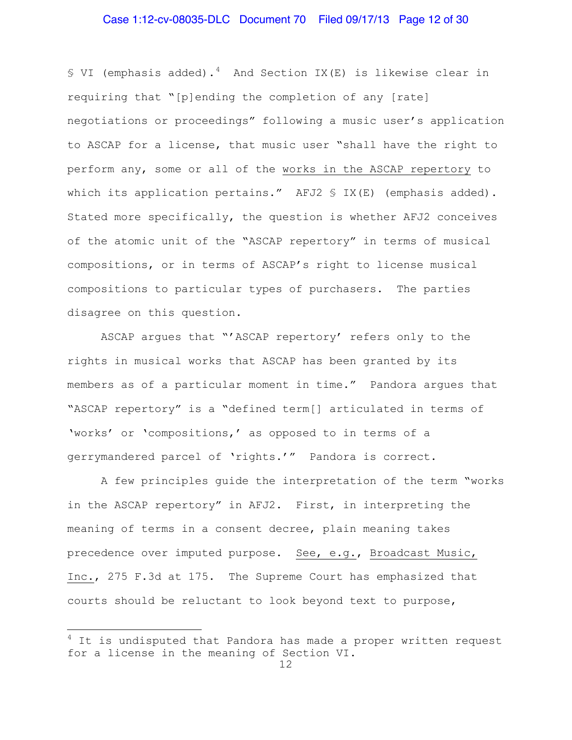# Case 1:12-cv-08035-DLC Document 70 Filed 09/17/13 Page 12 of 30

§ VI (emphasis added).<sup>[4](#page-11-0)</sup> And Section IX(E) is likewise clear in requiring that "[p]ending the completion of any [rate] negotiations or proceedings" following a music user's application to ASCAP for a license, that music user "shall have the right to perform any, some or all of the works in the ASCAP repertory to which its application pertains." AFJ2 § IX(E) (emphasis added). Stated more specifically, the question is whether AFJ2 conceives of the atomic unit of the "ASCAP repertory" in terms of musical compositions, or in terms of ASCAP's right to license musical compositions to particular types of purchasers. The parties disagree on this question.

ASCAP argues that "'ASCAP repertory' refers only to the rights in musical works that ASCAP has been granted by its members as of a particular moment in time." Pandora argues that "ASCAP repertory" is a "defined term[] articulated in terms of 'works' or 'compositions,' as opposed to in terms of a gerrymandered parcel of 'rights.'" Pandora is correct.

A few principles guide the interpretation of the term "works in the ASCAP repertory" in AFJ2. First, in interpreting the meaning of terms in a consent decree, plain meaning takes precedence over imputed purpose. See, e.g., Broadcast Music, Inc., 275 F.3d at 175. The Supreme Court has emphasized that courts should be reluctant to look beyond text to purpose,

i<br>L

<span id="page-11-0"></span> $^4$  It is undisputed that Pandora has made a proper written request for a license in the meaning of Section VI.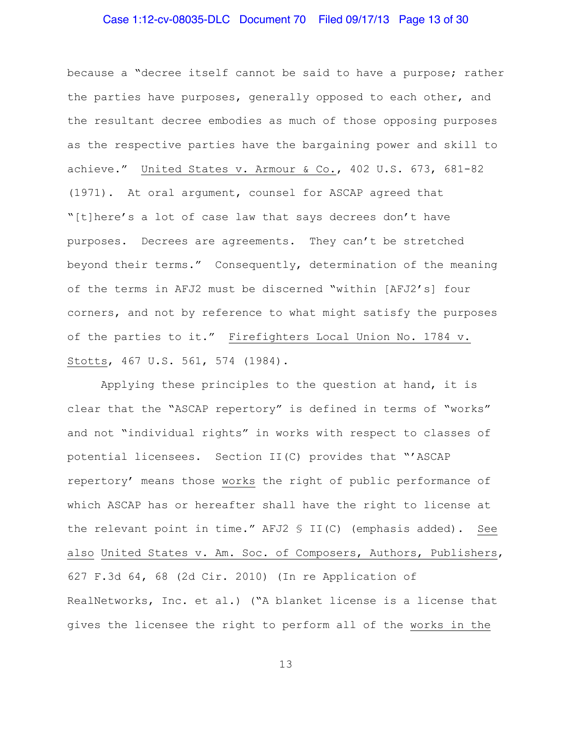# Case 1:12-cv-08035-DLC Document 70 Filed 09/17/13 Page 13 of 30

because a "decree itself cannot be said to have a purpose; rather the parties have purposes, generally opposed to each other, and the resultant decree embodies as much of those opposing purposes as the respective parties have the bargaining power and skill to achieve." United States v. Armour & Co., 402 U.S. 673, 681-82 (1971). At oral argument, counsel for ASCAP agreed that "[t]here's a lot of case law that says decrees don't have purposes. Decrees are agreements. They can't be stretched beyond their terms." Consequently, determination of the meaning of the terms in AFJ2 must be discerned "within [AFJ2's] four corners, and not by reference to what might satisfy the purposes of the parties to it." Firefighters Local Union No. 1784 v. Stotts, 467 U.S. 561, 574 (1984).

Applying these principles to the question at hand, it is clear that the "ASCAP repertory" is defined in terms of "works" and not "individual rights" in works with respect to classes of potential licensees. Section II(C) provides that "'ASCAP repertory' means those works the right of public performance of which ASCAP has or hereafter shall have the right to license at the relevant point in time." AFJ2 § II(C) (emphasis added). See also United States v. Am. Soc. of Composers, Authors, Publishers, 627 F.3d 64, 68 (2d Cir. 2010) (In re Application of RealNetworks, Inc. et al.) ("A blanket license is a license that gives the licensee the right to perform all of the works in the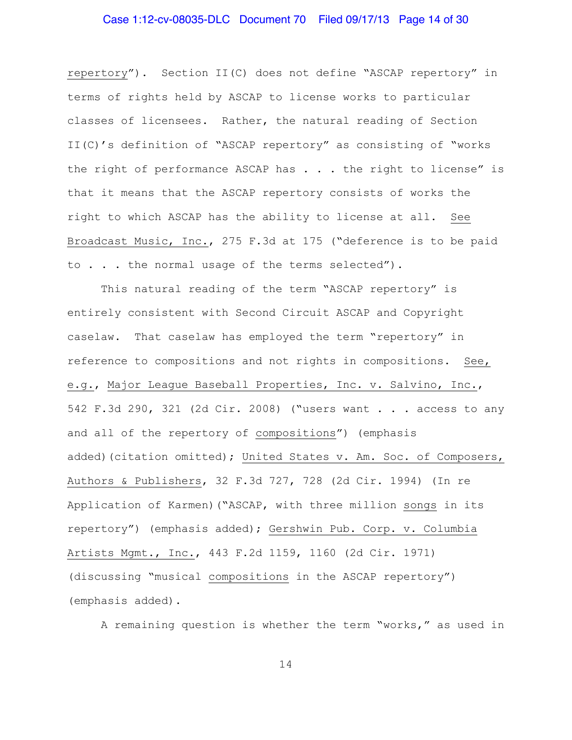# Case 1:12-cv-08035-DLC Document 70 Filed 09/17/13 Page 14 of 30

repertory"). Section II(C) does not define "ASCAP repertory" in terms of rights held by ASCAP to license works to particular classes of licensees. Rather, the natural reading of Section II(C)'s definition of "ASCAP repertory" as consisting of "works the right of performance ASCAP has . . . the right to license" is that it means that the ASCAP repertory consists of works the right to which ASCAP has the ability to license at all. See Broadcast Music, Inc., 275 F.3d at 175 ("deference is to be paid to . . . the normal usage of the terms selected").

This natural reading of the term "ASCAP repertory" is entirely consistent with Second Circuit ASCAP and Copyright caselaw. That caselaw has employed the term "repertory" in reference to compositions and not rights in compositions. See, e.g., Major League Baseball Properties, Inc. v. Salvino, Inc., 542 F.3d 290, 321 (2d Cir. 2008) ("users want . . . access to any and all of the repertory of compositions") (emphasis added)(citation omitted); United States v. Am. Soc. of Composers, Authors & Publishers, 32 F.3d 727, 728 (2d Cir. 1994) (In re Application of Karmen)("ASCAP, with three million songs in its repertory") (emphasis added); Gershwin Pub. Corp. v. Columbia Artists Mgmt., Inc., 443 F.2d 1159, 1160 (2d Cir. 1971) (discussing "musical compositions in the ASCAP repertory") (emphasis added).

A remaining question is whether the term "works," as used in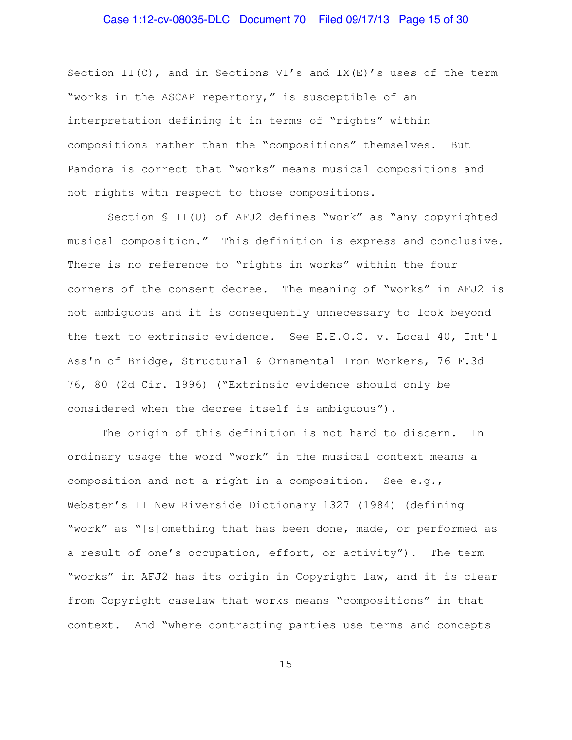# Case 1:12-cv-08035-DLC Document 70 Filed 09/17/13 Page 15 of 30

Section II(C), and in Sections VI's and IX(E)'s uses of the term "works in the ASCAP repertory," is susceptible of an interpretation defining it in terms of "rights" within compositions rather than the "compositions" themselves. But Pandora is correct that "works" means musical compositions and not rights with respect to those compositions.

Section § II(U) of AFJ2 defines "work" as "any copyrighted musical composition." This definition is express and conclusive. There is no reference to "rights in works" within the four corners of the consent decree. The meaning of "works" in AFJ2 is not ambiguous and it is consequently unnecessary to look beyond the text to extrinsic evidence. See E.E.O.C. v. Local 40, Int'l Ass'n of Bridge, Structural & Ornamental Iron Workers, 76 F.3d 76, 80 (2d Cir. 1996) ("Extrinsic evidence should only be considered when the decree itself is ambiguous").

The origin of this definition is not hard to discern. In ordinary usage the word "work" in the musical context means a composition and not a right in a composition. See e.g., Webster's II New Riverside Dictionary 1327 (1984) (defining "work" as "[s]omething that has been done, made, or performed as a result of one's occupation, effort, or activity"). The term "works" in AFJ2 has its origin in Copyright law, and it is clear from Copyright caselaw that works means "compositions" in that context. And "where contracting parties use terms and concepts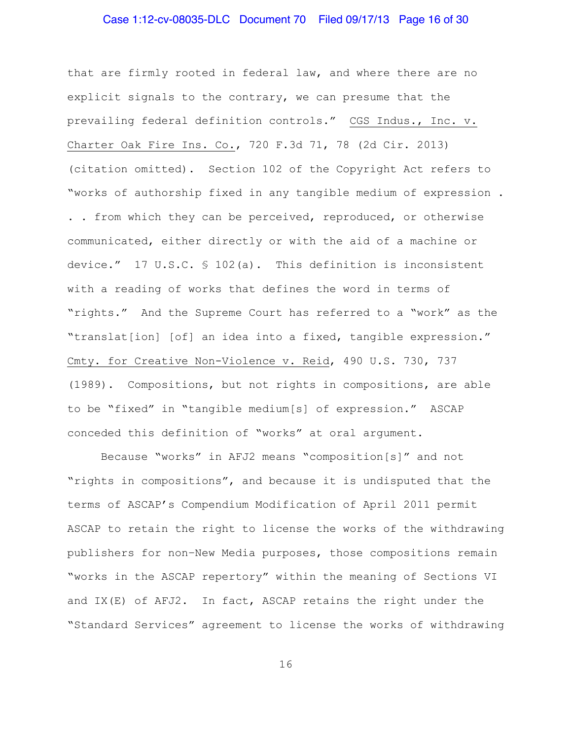# Case 1:12-cv-08035-DLC Document 70 Filed 09/17/13 Page 16 of 30

that are firmly rooted in federal law, and where there are no explicit signals to the contrary, we can presume that the prevailing federal definition controls." CGS Indus., Inc. v. Charter Oak Fire Ins. Co., 720 F.3d 71, 78 (2d Cir. 2013) (citation omitted). Section 102 of the Copyright Act refers to "works of authorship fixed in any tangible medium of expression . . . from which they can be perceived, reproduced, or otherwise communicated, either directly or with the aid of a machine or device." 17 U.S.C. § 102(a). This definition is inconsistent with a reading of works that defines the word in terms of "rights." And the Supreme Court has referred to a "work" as the "translat[ion] [of] an idea into a fixed, tangible expression." Cmty. for Creative Non-Violence v. Reid, 490 U.S. 730, 737 (1989). Compositions, but not rights in compositions, are able to be "fixed" in "tangible medium[s] of expression." ASCAP conceded this definition of "works" at oral argument.

Because "works" in AFJ2 means "composition[s]" and not "rights in compositions", and because it is undisputed that the terms of ASCAP's Compendium Modification of April 2011 permit ASCAP to retain the right to license the works of the withdrawing publishers for non–New Media purposes, those compositions remain "works in the ASCAP repertory" within the meaning of Sections VI and IX(E) of AFJ2. In fact, ASCAP retains the right under the "Standard Services" agreement to license the works of withdrawing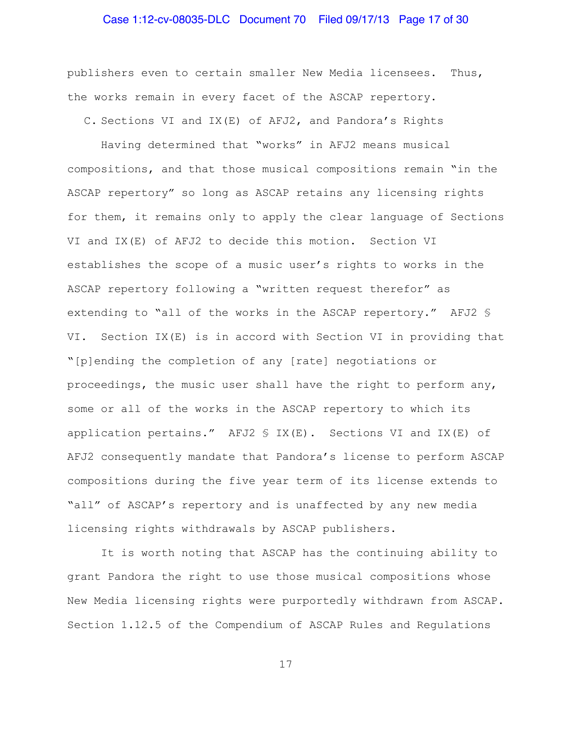# Case 1:12-cv-08035-DLC Document 70 Filed 09/17/13 Page 17 of 30

publishers even to certain smaller New Media licensees. Thus, the works remain in every facet of the ASCAP repertory.

C. Sections VI and IX(E) of AFJ2, and Pandora's Rights

Having determined that "works" in AFJ2 means musical compositions, and that those musical compositions remain "in the ASCAP repertory" so long as ASCAP retains any licensing rights for them, it remains only to apply the clear language of Sections VI and IX(E) of AFJ2 to decide this motion. Section VI establishes the scope of a music user's rights to works in the ASCAP repertory following a "written request therefor" as extending to "all of the works in the ASCAP repertory." AFJ2 § VI. Section IX(E) is in accord with Section VI in providing that "[p]ending the completion of any [rate] negotiations or proceedings, the music user shall have the right to perform any, some or all of the works in the ASCAP repertory to which its application pertains." AFJ2  $\frac{1}{2}$  IX(E). Sections VI and IX(E) of AFJ2 consequently mandate that Pandora's license to perform ASCAP compositions during the five year term of its license extends to "all" of ASCAP's repertory and is unaffected by any new media licensing rights withdrawals by ASCAP publishers.

It is worth noting that ASCAP has the continuing ability to grant Pandora the right to use those musical compositions whose New Media licensing rights were purportedly withdrawn from ASCAP. Section 1.12.5 of the Compendium of ASCAP Rules and Regulations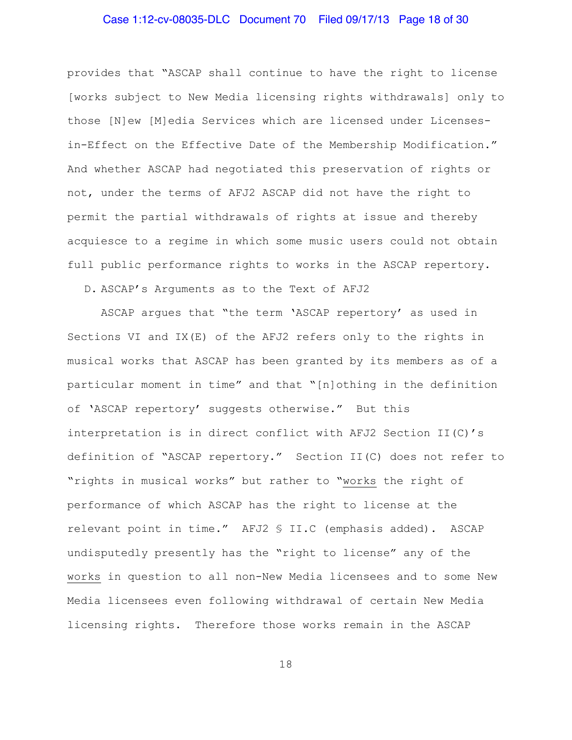# Case 1:12-cv-08035-DLC Document 70 Filed 09/17/13 Page 18 of 30

provides that "ASCAP shall continue to have the right to license [works subject to New Media licensing rights withdrawals] only to those [N]ew [M]edia Services which are licensed under Licensesin-Effect on the Effective Date of the Membership Modification." And whether ASCAP had negotiated this preservation of rights or not, under the terms of AFJ2 ASCAP did not have the right to permit the partial withdrawals of rights at issue and thereby acquiesce to a regime in which some music users could not obtain full public performance rights to works in the ASCAP repertory.

D. ASCAP's Arguments as to the Text of AFJ2

ASCAP argues that "the term 'ASCAP repertory' as used in Sections VI and IX(E) of the AFJ2 refers only to the rights in musical works that ASCAP has been granted by its members as of a particular moment in time" and that "[n]othing in the definition of 'ASCAP repertory' suggests otherwise." But this interpretation is in direct conflict with AFJ2 Section II(C)'s definition of "ASCAP repertory." Section II(C) does not refer to "rights in musical works" but rather to "works the right of performance of which ASCAP has the right to license at the relevant point in time." AFJ2 § II.C (emphasis added). ASCAP undisputedly presently has the "right to license" any of the works in question to all non-New Media licensees and to some New Media licensees even following withdrawal of certain New Media licensing rights. Therefore those works remain in the ASCAP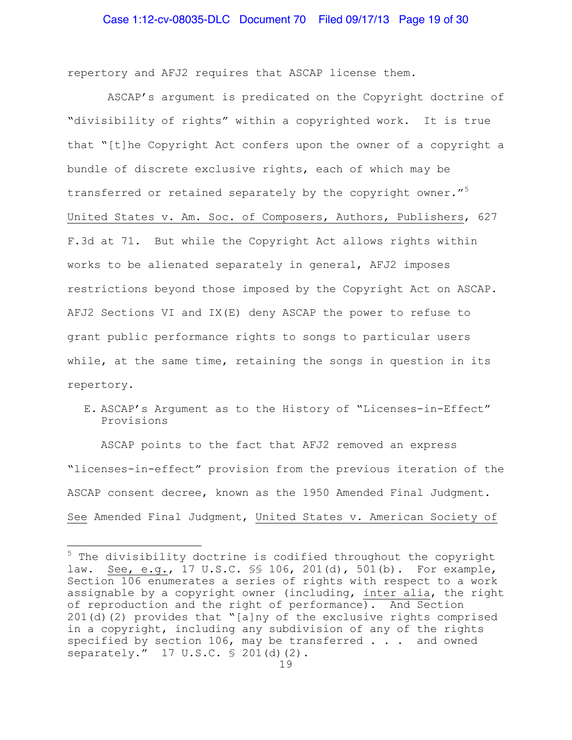repertory and AFJ2 requires that ASCAP license them.

ASCAP's argument is predicated on the Copyright doctrine of "divisibility of rights" within a copyrighted work. It is true that "[t]he Copyright Act confers upon the owner of a copyright a bundle of discrete exclusive rights, each of which may be transferred or retained separately by the copyright owner."<sup>[5](#page-18-0)</sup> United States v. Am. Soc. of Composers, Authors, Publishers, 627 F.3d at 71. But while the Copyright Act allows rights within works to be alienated separately in general, AFJ2 imposes restrictions beyond those imposed by the Copyright Act on ASCAP. AFJ2 Sections VI and IX(E) deny ASCAP the power to refuse to grant public performance rights to songs to particular users while, at the same time, retaining the songs in question in its repertory.

E. ASCAP's Argument as to the History of "Licenses-in-Effect" Provisions

ASCAP points to the fact that AFJ2 removed an express "licenses-in-effect" provision from the previous iteration of the ASCAP consent decree, known as the 1950 Amended Final Judgment. See Amended Final Judgment, United States v. American Society of

J.

<span id="page-18-0"></span><sup>&</sup>lt;sup>5</sup> The divisibility doctrine is codified throughout the copyright law. See, e.g., 17 U.S.C. §§ 106, 201(d), 501(b). For example, Section 106 enumerates a series of rights with respect to a work assignable by a copyright owner (including, inter alia, the right of reproduction and the right of performance). And Section 201(d)(2) provides that "[a]ny of the exclusive rights comprised in a copyright, including any subdivision of any of the rights specified by section 106, may be transferred . . . and owned separately." 17 U.S.C. § 201(d)(2).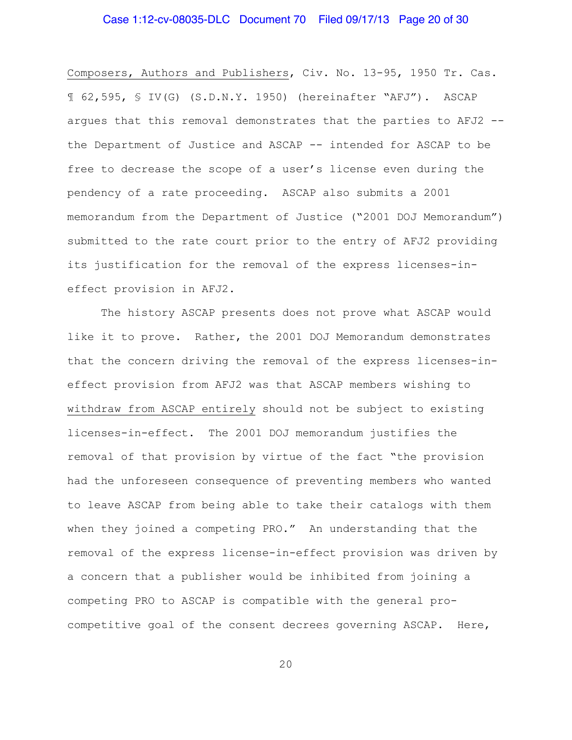# Case 1:12-cv-08035-DLC Document 70 Filed 09/17/13 Page 20 of 30

Composers, Authors and Publishers, Civ. No. 13-95, 1950 Tr. Cas. ¶ 62,595, § IV(G) (S.D.N.Y. 1950) (hereinafter "AFJ"). ASCAP argues that this removal demonstrates that the parties to AFJ2 - the Department of Justice and ASCAP -- intended for ASCAP to be free to decrease the scope of a user's license even during the pendency of a rate proceeding.ASCAP also submits a 2001 memorandum from the Department of Justice ("2001 DOJ Memorandum") submitted to the rate court prior to the entry of AFJ2 providing its justification for the removal of the express licenses-ineffect provision in AFJ2.

The history ASCAP presents does not prove what ASCAP would like it to prove. Rather, the 2001 DOJ Memorandum demonstrates that the concern driving the removal of the express licenses-ineffect provision from AFJ2 was that ASCAP members wishing to withdraw from ASCAP entirely should not be subject to existing licenses-in-effect. The 2001 DOJ memorandum justifies the removal of that provision by virtue of the fact "the provision had the unforeseen consequence of preventing members who wanted to leave ASCAP from being able to take their catalogs with them when they joined a competing PRO." An understanding that the removal of the express license-in-effect provision was driven by a concern that a publisher would be inhibited from joining a competing PRO to ASCAP is compatible with the general procompetitive goal of the consent decrees governing ASCAP. Here,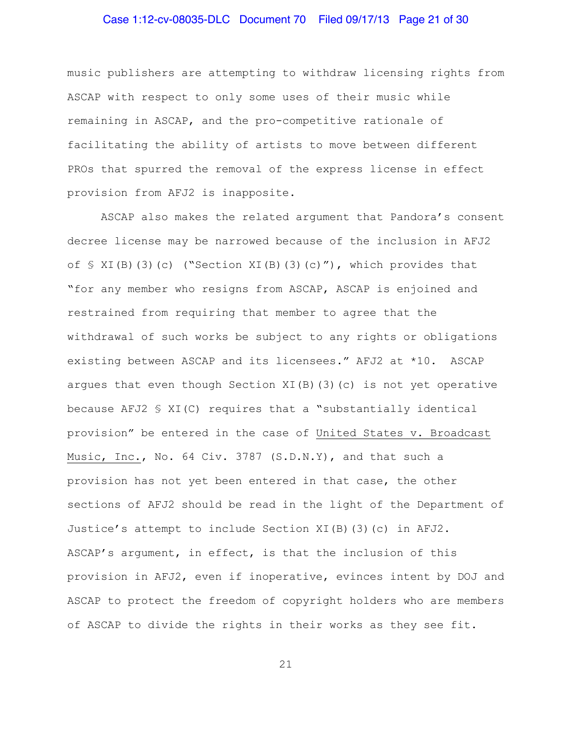# Case 1:12-cv-08035-DLC Document 70 Filed 09/17/13 Page 21 of 30

music publishers are attempting to withdraw licensing rights from ASCAP with respect to only some uses of their music while remaining in ASCAP, and the pro-competitive rationale of facilitating the ability of artists to move between different PROs that spurred the removal of the express license in effect provision from AFJ2 is inapposite.

ASCAP also makes the related argument that Pandora's consent decree license may be narrowed because of the inclusion in AFJ2 of  $\leq$  XI(B)(3)(c) ("Section XI(B)(3)(c)"), which provides that "for any member who resigns from ASCAP, ASCAP is enjoined and restrained from requiring that member to agree that the withdrawal of such works be subject to any rights or obligations existing between ASCAP and its licensees." AFJ2 at \*10. ASCAP argues that even though Section XI(B)(3)(c) is not yet operative because AFJ2 § XI(C) requires that a "substantially identical provision" be entered in the case of United States v. Broadcast Music, Inc., No. 64 Civ. 3787 (S.D.N.Y), and that such a provision has not yet been entered in that case, the other sections of AFJ2 should be read in the light of the Department of Justice's attempt to include Section XI(B)(3)(c) in AFJ2. ASCAP's argument, in effect, is that the inclusion of this provision in AFJ2, even if inoperative, evinces intent by DOJ and ASCAP to protect the freedom of copyright holders who are members of ASCAP to divide the rights in their works as they see fit.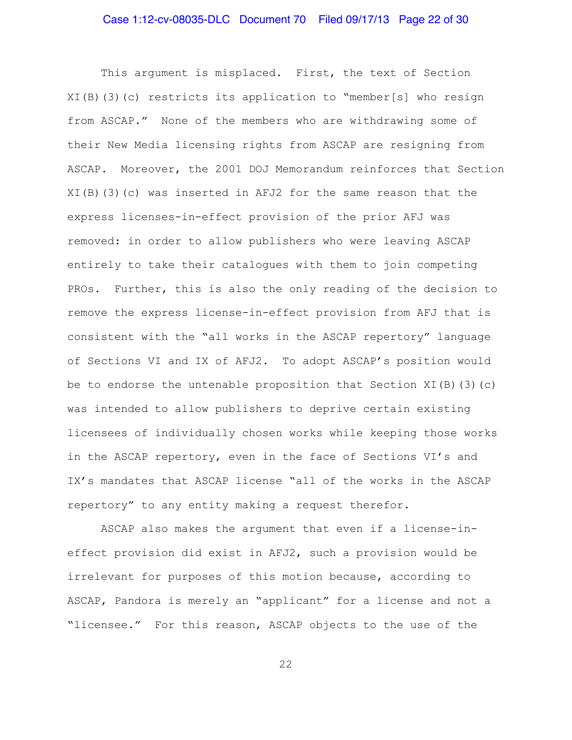This argument is misplaced. First, the text of Section XI(B)(3)(c) restricts its application to "member[s] who resign from ASCAP." None of the members who are withdrawing some of their New Media licensing rights from ASCAP are resigning from ASCAP. Moreover, the 2001 DOJ Memorandum reinforces that Section XI(B)(3)(c) was inserted in AFJ2 for the same reason that the express licenses-in-effect provision of the prior AFJ was removed: in order to allow publishers who were leaving ASCAP entirely to take their catalogues with them to join competing PROs. Further, this is also the only reading of the decision to remove the express license-in-effect provision from AFJ that is consistent with the "all works in the ASCAP repertory" language of Sections VI and IX of AFJ2. To adopt ASCAP's position would be to endorse the untenable proposition that Section XI(B)(3)(c) was intended to allow publishers to deprive certain existing licensees of individually chosen works while keeping those works in the ASCAP repertory, even in the face of Sections VI's and IX's mandates that ASCAP license "all of the works in the ASCAP repertory" to any entity making a request therefor.

ASCAP also makes the argument that even if a license-ineffect provision did exist in AFJ2, such a provision would be irrelevant for purposes of this motion because, according to ASCAP, Pandora is merely an "applicant" for a license and not a "licensee." For this reason, ASCAP objects to the use of the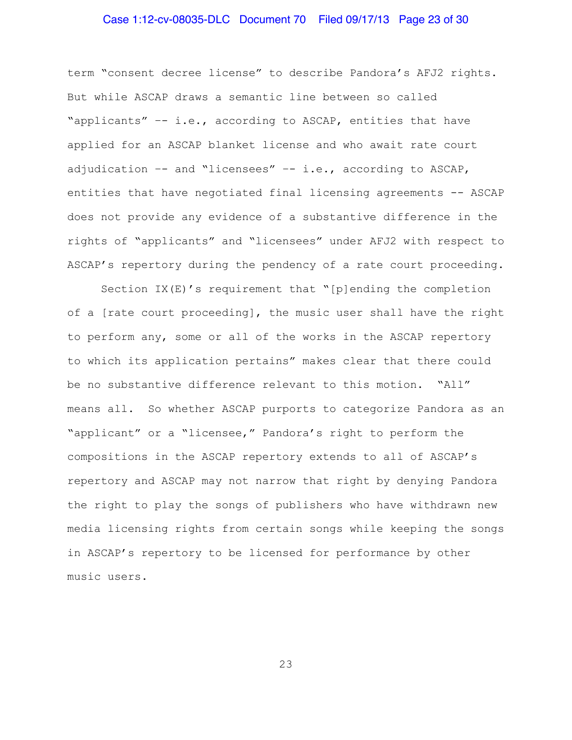# Case 1:12-cv-08035-DLC Document 70 Filed 09/17/13 Page 23 of 30

term "consent decree license" to describe Pandora's AFJ2 rights. But while ASCAP draws a semantic line between so called "applicants" –- i.e., according to ASCAP, entities that have applied for an ASCAP blanket license and who await rate court adjudication –- and "licensees" –- i.e., according to ASCAP, entities that have negotiated final licensing agreements -- ASCAP does not provide any evidence of a substantive difference in the rights of "applicants" and "licensees" under AFJ2 with respect to ASCAP's repertory during the pendency of a rate court proceeding.

Section IX(E)'s requirement that "[p]ending the completion of a [rate court proceeding], the music user shall have the right to perform any, some or all of the works in the ASCAP repertory to which its application pertains" makes clear that there could be no substantive difference relevant to this motion. "All" means all. So whether ASCAP purports to categorize Pandora as an "applicant" or a "licensee," Pandora's right to perform the compositions in the ASCAP repertory extends to all of ASCAP's repertory and ASCAP may not narrow that right by denying Pandora the right to play the songs of publishers who have withdrawn new media licensing rights from certain songs while keeping the songs in ASCAP's repertory to be licensed for performance by other music users.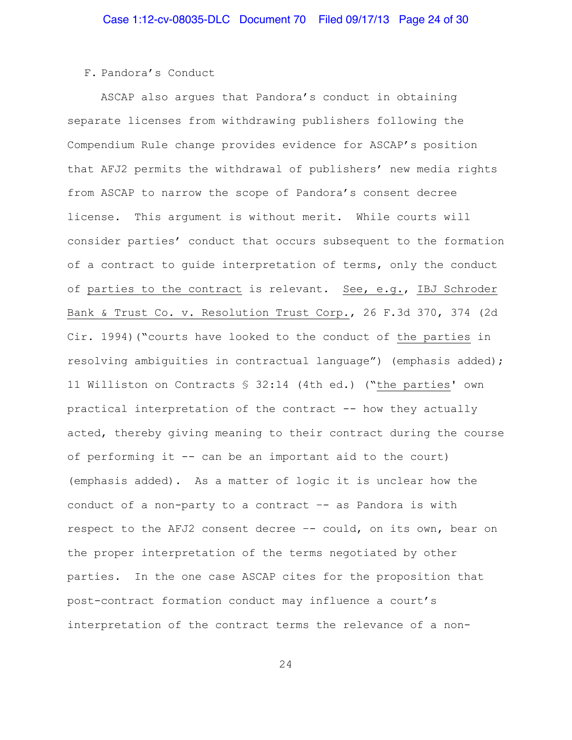#### F. Pandora's Conduct

ASCAP also argues that Pandora's conduct in obtaining separate licenses from withdrawing publishers following the Compendium Rule change provides evidence for ASCAP's position that AFJ2 permits the withdrawal of publishers' new media rights from ASCAP to narrow the scope of Pandora's consent decree license. This argument is without merit. While courts will consider parties' conduct that occurs subsequent to the formation of a contract to guide interpretation of terms, only the conduct of parties to the contract is relevant. See, e.g., IBJ Schroder Bank & Trust Co. v. Resolution Trust Corp., 26 F.3d 370, 374 (2d Cir. 1994)("courts have looked to the conduct of the parties in resolving ambiguities in contractual language") (emphasis added); 11 Williston on Contracts § 32:14 (4th ed.) ("the parties' own practical interpretation of the contract -- how they actually acted, thereby giving meaning to their contract during the course of performing it -- can be an important aid to the court) (emphasis added). As a matter of logic it is unclear how the conduct of a non-party to a contract –- as Pandora is with respect to the AFJ2 consent decree –- could, on its own, bear on the proper interpretation of the terms negotiated by other parties. In the one case ASCAP cites for the proposition that post-contract formation conduct may influence a court's interpretation of the contract terms the relevance of a non-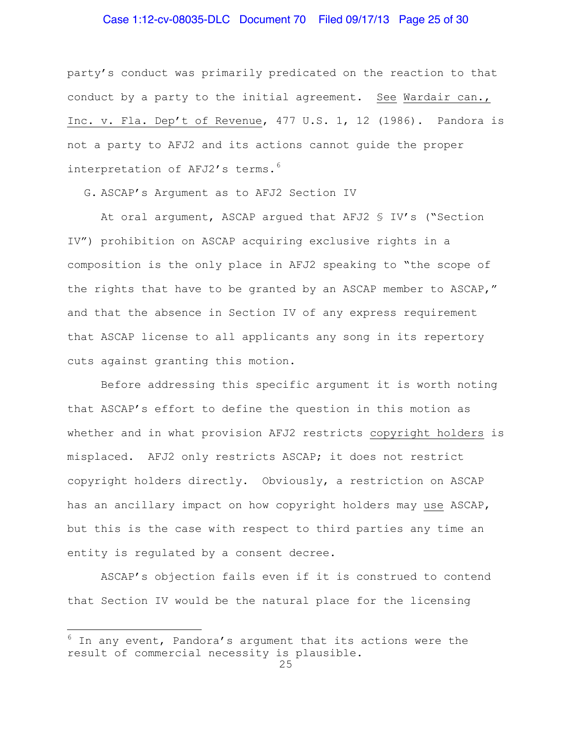#### Case 1:12-cv-08035-DLC Document 70 Filed 09/17/13 Page 25 of 30

party's conduct was primarily predicated on the reaction to that conduct by a party to the initial agreement. See Wardair can., Inc. v. Fla. Dep't of Revenue, 477 U.S. 1, 12 (1986). Pandora is not a party to AFJ2 and its actions cannot guide the proper interpretation of AFJ2's terms.<sup>[6](#page-24-0)</sup>

G. ASCAP's Argument as to AFJ2 Section IV

At oral argument, ASCAP argued that AFJ2 § IV's ("Section IV") prohibition on ASCAP acquiring exclusive rights in a composition is the only place in AFJ2 speaking to "the scope of the rights that have to be granted by an ASCAP member to ASCAP," and that the absence in Section IV of any express requirement that ASCAP license to all applicants any song in its repertory cuts against granting this motion.

Before addressing this specific argument it is worth noting that ASCAP's effort to define the question in this motion as whether and in what provision AFJ2 restricts copyright holders is misplaced. AFJ2 only restricts ASCAP; it does not restrict copyright holders directly. Obviously, a restriction on ASCAP has an ancillary impact on how copyright holders may use ASCAP, but this is the case with respect to third parties any time an entity is regulated by a consent decree.

ASCAP's objection fails even if it is construed to contend that Section IV would be the natural place for the licensing

i<br>L

<span id="page-24-0"></span> $6$  In any event, Pandora's argument that its actions were the result of commercial necessity is plausible.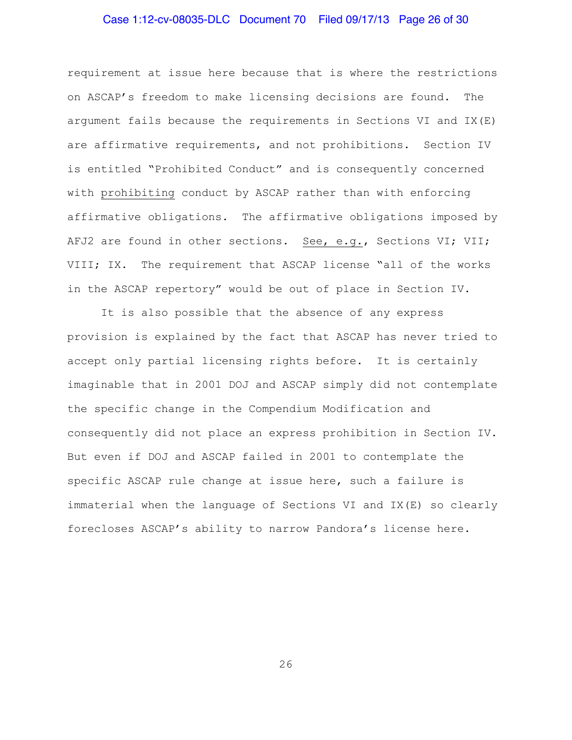# Case 1:12-cv-08035-DLC Document 70 Filed 09/17/13 Page 26 of 30

requirement at issue here because that is where the restrictions on ASCAP's freedom to make licensing decisions are found. The argument fails because the requirements in Sections VI and IX(E) are affirmative requirements, and not prohibitions. Section IV is entitled "Prohibited Conduct" and is consequently concerned with prohibiting conduct by ASCAP rather than with enforcing affirmative obligations. The affirmative obligations imposed by AFJ2 are found in other sections. See, e.g., Sections VI; VII; VIII; IX. The requirement that ASCAP license "all of the works in the ASCAP repertory" would be out of place in Section IV.

It is also possible that the absence of any express provision is explained by the fact that ASCAP has never tried to accept only partial licensing rights before. It is certainly imaginable that in 2001 DOJ and ASCAP simply did not contemplate the specific change in the Compendium Modification and consequently did not place an express prohibition in Section IV. But even if DOJ and ASCAP failed in 2001 to contemplate the specific ASCAP rule change at issue here, such a failure is immaterial when the language of Sections VI and IX(E) so clearly forecloses ASCAP's ability to narrow Pandora's license here.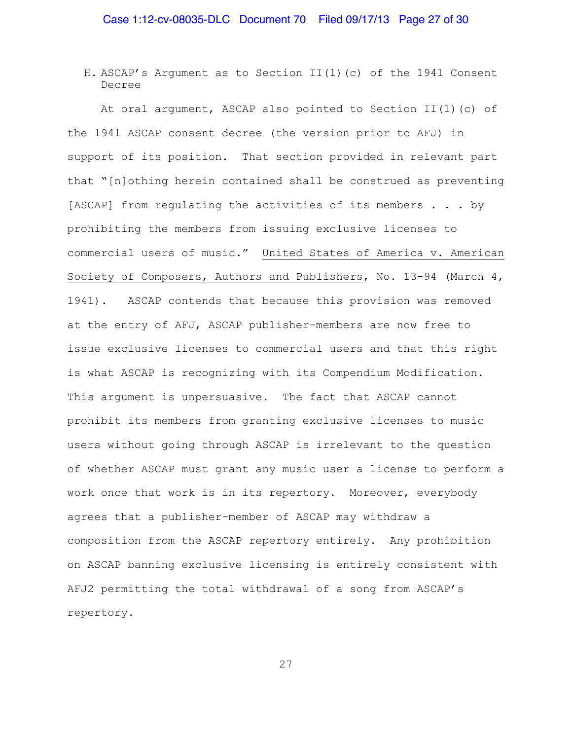H. ASCAP's Argument as to Section II(1)(c) of the 1941 Consent Decree

At oral argument, ASCAP also pointed to Section II(1)(c) of the 1941 ASCAP consent decree (the version prior to AFJ) in support of its position. That section provided in relevant part that "[n]othing herein contained shall be construed as preventing [ASCAP] from regulating the activities of its members . . . by prohibiting the members from issuing exclusive licenses to commercial users of music." United States of America v. American Society of Composers, Authors and Publishers, No. 13-94 (March 4, 1941). ASCAP contends that because this provision was removed at the entry of AFJ, ASCAP publisher-members are now free to issue exclusive licenses to commercial users and that this right is what ASCAP is recognizing with its Compendium Modification. This argument is unpersuasive. The fact that ASCAP cannot prohibit its members from granting exclusive licenses to music users without going through ASCAP is irrelevant to the question of whether ASCAP must grant any music user a license to perform a work once that work is in its repertory. Moreover, everybody agrees that a publisher-member of ASCAP may withdraw a composition from the ASCAP repertory entirely. Any prohibition on ASCAP banning exclusive licensing is entirely consistent with AFJ2 permitting the total withdrawal of a song from ASCAP's repertory.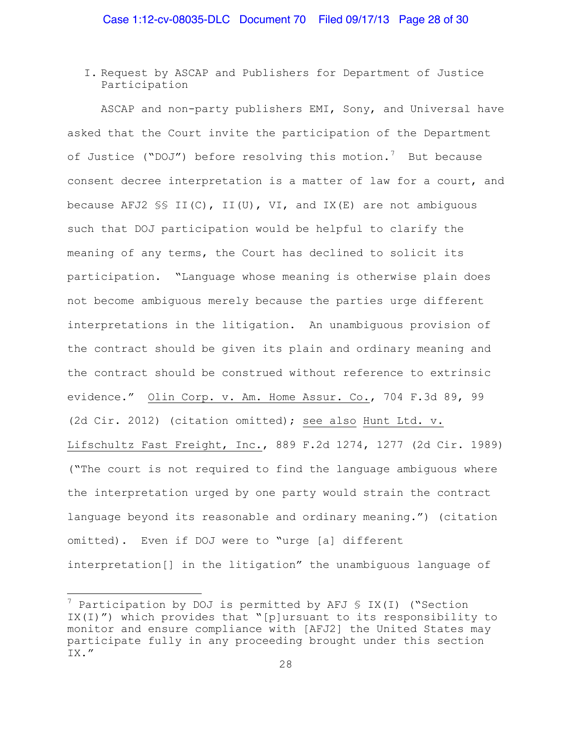I. Request by ASCAP and Publishers for Department of Justice Participation

ASCAP and non-party publishers EMI, Sony, and Universal have asked that the Court invite the participation of the Department of Justice ("DOJ") before resolving this motion.<sup>[7](#page-27-0)</sup> But because consent decree interpretation is a matter of law for a court, and because AFJ2  $\S$ 5 II(C), II(U), VI, and IX(E) are not ambiguous such that DOJ participation would be helpful to clarify the meaning of any terms, the Court has declined to solicit its participation. "Language whose meaning is otherwise plain does not become ambiguous merely because the parties urge different interpretations in the litigation. An unambiguous provision of the contract should be given its plain and ordinary meaning and the contract should be construed without reference to extrinsic evidence." Olin Corp. v. Am. Home Assur. Co., 704 F.3d 89, 99 (2d Cir. 2012) (citation omitted); see also Hunt Ltd. v. Lifschultz Fast Freight, Inc., 889 F.2d 1274, 1277 (2d Cir. 1989) ("The court is not required to find the language ambiguous where the interpretation urged by one party would strain the contract language beyond its reasonable and ordinary meaning.") (citation omitted). Even if DOJ were to "urge [a] different interpretation[] in the litigation" the unambiguous language of

J.

<span id="page-27-0"></span> $7$  Participation by DOJ is permitted by AFJ § IX(I) ("Section IX(I)") which provides that "[p]ursuant to its responsibility to monitor and ensure compliance with [AFJ2] the United States may participate fully in any proceeding brought under this section IX."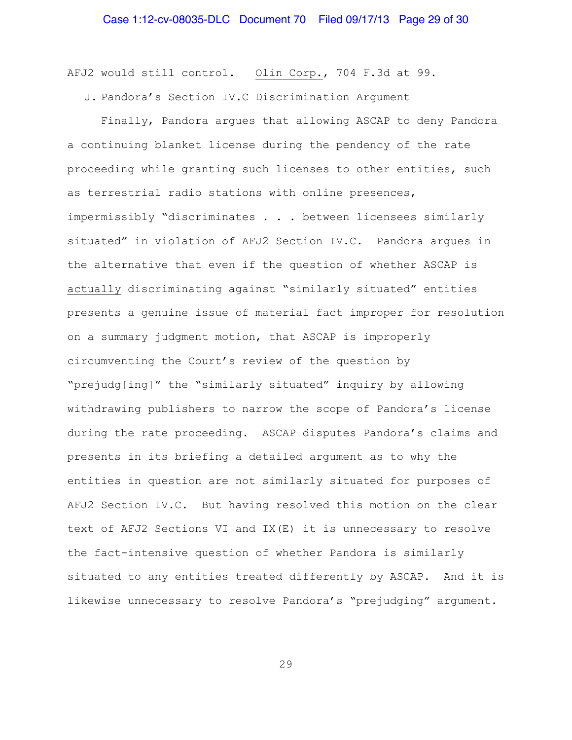AFJ2 would still control. Olin Corp., 704 F.3d at 99.

J. Pandora's Section IV.C Discrimination Argument

Finally, Pandora argues that allowing ASCAP to deny Pandora a continuing blanket license during the pendency of the rate proceeding while granting such licenses to other entities, such as terrestrial radio stations with online presences, impermissibly "discriminates . . . between licensees similarly situated" in violation of AFJ2 Section IV.C. Pandora argues in the alternative that even if the question of whether ASCAP is actually discriminating against "similarly situated" entities presents a genuine issue of material fact improper for resolution on a summary judgment motion, that ASCAP is improperly circumventing the Court's review of the question by "prejudg[ing]" the "similarly situated" inquiry by allowing withdrawing publishers to narrow the scope of Pandora's license during the rate proceeding. ASCAP disputes Pandora's claims and presents in its briefing a detailed argument as to why the entities in question are not similarly situated for purposes of AFJ2 Section IV.C. But having resolved this motion on the clear text of AFJ2 Sections VI and IX(E) it is unnecessary to resolve the fact-intensive question of whether Pandora is similarly situated to any entities treated differently by ASCAP. And it is likewise unnecessary to resolve Pandora's "prejudging" argument.